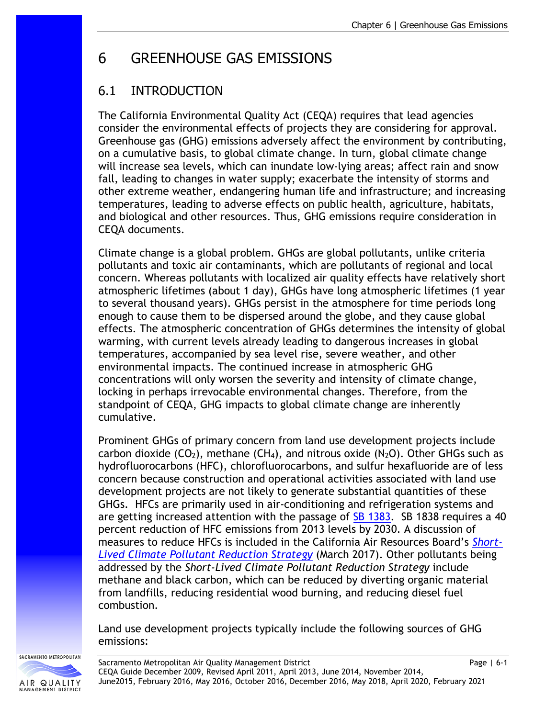# 6 GREENHOUSE GAS EMISSIONS

# 6.1 INTRODUCTION

The California Environmental Quality Act (CEQA) requires that lead agencies consider the environmental effects of projects they are considering for approval. Greenhouse gas (GHG) emissions adversely affect the environment by contributing, on a cumulative basis, to global climate change. In turn, global climate change will increase sea levels, which can inundate low-lying areas; affect rain and snow fall, leading to changes in water supply; exacerbate the intensity of storms and other extreme weather, endangering human life and infrastructure; and increasing temperatures, leading to adverse effects on public health, agriculture, habitats, and biological and other resources. Thus, GHG emissions require consideration in CEQA documents.

Climate change is a global problem. GHGs are global pollutants, unlike criteria pollutants and toxic air contaminants, which are pollutants of regional and local concern. Whereas pollutants with localized air quality effects have relatively short atmospheric lifetimes (about 1 day), GHGs have long atmospheric lifetimes (1 year to several thousand years). GHGs persist in the atmosphere for time periods long enough to cause them to be dispersed around the globe, and they cause global effects. The atmospheric concentration of GHGs determines the intensity of global warming, with current levels already leading to dangerous increases in global temperatures, accompanied by sea level rise, severe weather, and other environmental impacts. The continued increase in atmospheric GHG concentrations will only worsen the severity and intensity of climate change, locking in perhaps irrevocable environmental changes. Therefore, from the standpoint of CEQA, GHG impacts to global climate change are inherently cumulative.

Prominent GHGs of primary concern from land use development projects include carbon dioxide (CO<sub>2</sub>), methane (CH<sub>4</sub>), and nitrous oxide (N<sub>2</sub>O). Other GHGs such as hydrofluorocarbons (HFC), chlorofluorocarbons, and sulfur hexafluoride are of less concern because construction and operational activities associated with land use development projects are not likely to generate substantial quantities of these GHGs. HFCs are primarily used in air-conditioning and refrigeration systems and are getting increased attention with the passage of [SB 1383.](http://leginfo.legislature.ca.gov/faces/billNavClient.xhtml?bill_id=201520160SB1383) SB 1838 requires a 40 percent reduction of HFC emissions from 2013 levels by 2030. A discussion of measures to reduce HFCs is included in the California Air Resources Board's *[Short-](https://www.arb.ca.gov/cc/shortlived/shortlived.htm)[Lived Climate Pollutant Reduction Strategy](https://www.arb.ca.gov/cc/shortlived/shortlived.htm)* (March 2017). Other pollutants being addressed by the *Short-Lived Climate Pollutant Reduction Strategy* include methane and black carbon, which can be reduced by diverting organic material from landfills, reducing residential wood burning, and reducing diesel fuel combustion.

Land use development projects typically include the following sources of GHG emissions:

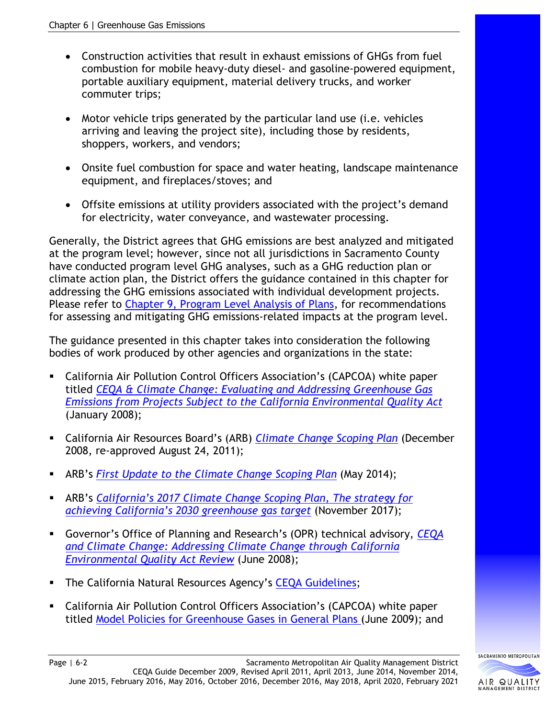- Construction activities that result in exhaust emissions of GHGs from fuel combustion for mobile heavy-duty diesel- and gasoline-powered equipment, portable auxiliary equipment, material delivery trucks, and worker commuter trips;
- Motor vehicle trips generated by the particular land use (i.e. vehicles arriving and leaving the project site), including those by residents, shoppers, workers, and vendors;
- Onsite fuel combustion for space and water heating, landscape maintenance equipment, and fireplaces/stoves; and
- Offsite emissions at utility providers associated with the project's demand for electricity, water conveyance, and wastewater processing.

Generally, the District agrees that GHG emissions are best analyzed and mitigated at the program level; however, since not all jurisdictions in Sacramento County have conducted program level GHG analyses, such as a GHG reduction plan or climate action plan, the District offers the guidance contained in this chapter for addressing the GHG emissions associated with individual development projects. Please refer to [Chapter 9, Program Level Analysis of Plans,](http://www.airquality.org/Businesses/CEQA-Land-Use-Planning/CEQA-Guidance-Tools) for recommendations for assessing and mitigating GHG emissions-related impacts at the program level.

The guidance presented in this chapter takes into consideration the following bodies of work produced by other agencies and organizations in the state:

- California Air Pollution Control Officers Association's (CAPCOA) white paper titled *[CEQA & Climate Change: Evaluating and Addressing Greenhouse Gas](http://www.capcoa.org/wp-content/uploads/downloads/2010/05/CAPCOA-White-Paper.pdf)  [Emissions from Projects Subject to the California Environmental Quality Act](http://www.capcoa.org/wp-content/uploads/downloads/2010/05/CAPCOA-White-Paper.pdf)* (January 2008);
- California Air Resources Board's (ARB) *[Climate Change Scoping Plan](https://ww2.arb.ca.gov/our-work/programs/ab-32-climate-change-scoping-plan)* (December 2008, re-approved August 24, 2011);
- ARB's *[First Update to the Climate Change Scoping Plan](https://ww2.arb.ca.gov/our-work/programs/ab-32-climate-change-scoping-plan)* (May 2014);
- ARB's *[California's 2017 Climate Change Scoping Plan, The strategy for](https://ww2.arb.ca.gov/our-work/programs/ab-32-climate-change-scoping-plan)  [achieving California's 2030 greenhouse gas target](https://ww2.arb.ca.gov/our-work/programs/ab-32-climate-change-scoping-plan)* (November 2017);
- Governor's Office of Planning and Research's (OPR) technical advisory, *[CEQA](http://opr.ca.gov/docs/june08-ceqa.pdf)  [and Climate Change: Addressing Climate Change through California](http://opr.ca.gov/docs/june08-ceqa.pdf)  [Environmental Quality Act Review](http://opr.ca.gov/docs/june08-ceqa.pdf)* (June 2008);
- **The California Natural Resources Agency's [CEQA Guidelines;](https://resources.ca.gov/admin/Legal/CEQA-Supplemental-Documents)**
- California Air Pollution Control Officers Association's (CAPCOA) white paper titled [Model Policies for Greenhouse Gases in General Plans \(](http://www.capcoa.org/wp-content/uploads/downloads/2010/05/CAPCOA-ModelPolicies-6-12-09-915am.pdf)June 2009); and



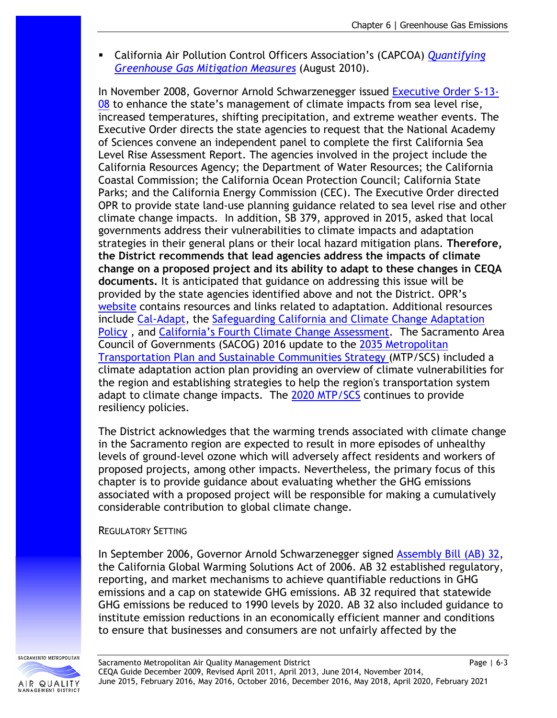California Air Pollution Control Officers Association's (CAPCOA) *[Quantifying](http://www.capcoa.org/wp-content/uploads/2010/11/CAPCOA-Quantification-Report-9-14-Final.pdf)  [Greenhouse Gas Mitigation Measures](http://www.capcoa.org/wp-content/uploads/2010/11/CAPCOA-Quantification-Report-9-14-Final.pdf)* (August 2010).

In November 2008, Governor Arnold Schwarzenegger issued [Executive Order S-13-](https://web.archive.org/web/20091124000416/http:/gov.ca.gov/index.php?/executive-order/11036/)  $08$  to enhance the state's management of climate impacts from sea level rise, increased temperatures, shifting precipitation, and extreme weather events. The Executive Order directs the state agencies to request that the National Academy of Sciences convene an independent panel to complete the first California Sea Level Rise Assessment Report. The agencies involved in the project include the California Resources Agency; the Department of Water Resources; the California Coastal Commission; the California Ocean Protection Council; California State Parks; and the California Energy Commission (CEC). The Executive Order directed OPR to provide state land-use planning guidance related to sea level rise and other climate change impacts. In addition, SB 379, approved in 2015, asked that local governments address their vulnerabilities to climate impacts and adaptation strategies in their general plans or their local hazard mitigation plans. **Therefore, the District recommends that lead agencies address the impacts of climate change on a proposed project and its ability to adapt to these changes in CEQA documents.** It is anticipated that guidance on addressing this issue will be provided by the state agencies identified above and not the District. OPR's [website](http://www.opr.ca.gov/planning/icarp/) contains resources and links related to adaptation. Additional resources include [Cal-Adapt,](http://cal-adapt.org/) the [Safeguarding California and Climate Change Adaptation](https://resources.ca.gov/Initiatives/Building-Climate-Resilience)  [Policy](https://resources.ca.gov/Initiatives/Building-Climate-Resilience) , and [California's Fourth Climate Change Assessment.](http://www.climateassessment.ca.gov/) The Sacramento Area Council of Governments (SACOG) 2016 update to the [2035 Metropolitan](http://www.sacog.org/mtpscs)  [Transportation Plan and Sustainable Communities Strategy \(](http://www.sacog.org/mtpscs)MTP/SCS) included a climate adaptation action plan providing an overview of climate vulnerabilities for the region and establishing strategies to help the region's transportation system adapt to climate change impacts. The [2020 MTP/SCS](https://www.sacog.org/2020-metropolitan-transportation-plansustainable-communities-strategy-update) continues to provide resiliency policies.

The District acknowledges that the warming trends associated with climate change in the Sacramento region are expected to result in more episodes of unhealthy levels of ground-level ozone which will adversely affect residents and workers of proposed projects, among other impacts. Nevertheless, the primary focus of this chapter is to provide guidance about evaluating whether the GHG emissions associated with a proposed project will be responsible for making a cumulatively considerable contribution to global climate change.

#### REGULATORY SETTING

In September 2006, Governor Arnold Schwarzenegger signed [Assembly Bill \(AB\) 32,](http://www.leginfo.ca.gov/pub/05-06/bill/asm/ab_0001-0050/ab_32_bill_20060927_chaptered.pdf) the California Global Warming Solutions Act of 2006. AB 32 established regulatory, reporting, and market mechanisms to achieve quantifiable reductions in GHG emissions and a cap on statewide GHG emissions. AB 32 required that statewide GHG emissions be reduced to 1990 levels by 2020. AB 32 also included guidance to institute emission reductions in an economically efficient manner and conditions to ensure that businesses and consumers are not unfairly affected by the

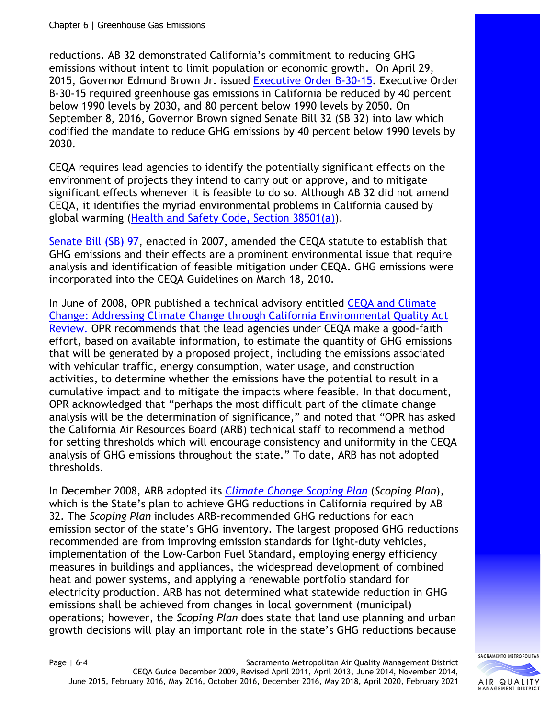reductions. AB 32 demonstrated California's commitment to reducing GHG emissions without intent to limit population or economic growth. On April 29, 2015, Governor Edmund Brown Jr. issued [Executive Order B-30-15.](https://www.ca.gov/archive/gov39/2015/04/29/news18938/index.html) Executive Order B-30-15 required greenhouse gas emissions in California be reduced by 40 percent below 1990 levels by 2030, and 80 percent below 1990 levels by 2050. On September 8, 2016, Governor Brown signed Senate Bill 32 (SB 32) into law which codified the mandate to reduce GHG emissions by 40 percent below 1990 levels by 2030.

CEQA requires lead agencies to identify the potentially significant effects on the environment of projects they intend to carry out or approve, and to mitigate significant effects whenever it is feasible to do so. Although AB 32 did not amend CEQA, it identifies the myriad environmental problems in California caused by global warming [\(Health and Safety Code, Section 38501\(a\)\)](https://leginfo.legislature.ca.gov/faces/codes_displayText.xhtml?lawCode=HSC&division=25.5.&title=&part=1.&chapter=2.&article=).

[Senate Bill \(SB\) 97,](http://www.leginfo.ca.gov/pub/07-08/bill/sen/sb_0051-0100/sb_97_bill_20070824_chaptered.html) enacted in 2007, amended the CEQA statute to establish that GHG emissions and their effects are a prominent environmental issue that require analysis and identification of feasible mitigation under CEQA. GHG emissions were incorporated into the CEQA Guidelines on March 18, 2010.

In June of 2008, OPR published a technical advisory entitled [CEQA and Climate](http://opr.ca.gov/docs/june08-ceqa.pdf)  [Change: Addressing Climate Change through California Environmental Quality Act](http://opr.ca.gov/docs/june08-ceqa.pdf)  [Review.](http://opr.ca.gov/docs/june08-ceqa.pdf) OPR recommends that the lead agencies under CEQA make a good-faith effort, based on available information, to estimate the quantity of GHG emissions that will be generated by a proposed project, including the emissions associated with vehicular traffic, energy consumption, water usage, and construction activities, to determine whether the emissions have the potential to result in a cumulative impact and to mitigate the impacts where feasible. In that document, OPR acknowledged that "perhaps the most difficult part of the climate change analysis will be the determination of significance," and noted that "OPR has asked the California Air Resources Board (ARB) technical staff to recommend a method for setting thresholds which will encourage consistency and uniformity in the CEQA analysis of GHG emissions throughout the state." To date, ARB has not adopted thresholds.

In December 2008, ARB adopted its *[Climate Change Scoping Plan](https://ww2.arb.ca.gov/our-work/programs/ab-32-climate-change-scoping-plan)* (*Scoping Plan*), which is the State's plan to achieve GHG reductions in California required by AB 32. The *Scoping Plan* includes ARB-recommended GHG reductions for each emission sector of the state's GHG inventory. The largest proposed GHG reductions recommended are from improving emission standards for light-duty vehicles, implementation of the Low-Carbon Fuel Standard, employing energy efficiency measures in buildings and appliances, the widespread development of combined heat and power systems, and applying a renewable portfolio standard for electricity production. ARB has not determined what statewide reduction in GHG emissions shall be achieved from changes in local government (municipal) operations; however, the *Scoping Plan* does state that land use planning and urban growth decisions will play an important role in the state's GHG reductions because

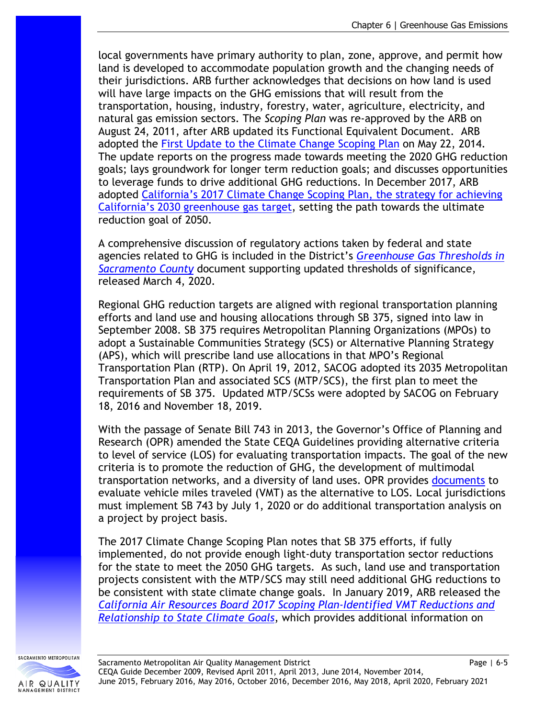local governments have primary authority to plan, zone, approve, and permit how land is developed to accommodate population growth and the changing needs of their jurisdictions. ARB further acknowledges that decisions on how land is used will have large impacts on the GHG emissions that will result from the transportation, housing, industry, forestry, water, agriculture, electricity, and natural gas emission sectors. The *Scoping Plan* was re-approved by the ARB on August 24, 2011, after ARB updated its Functional Equivalent Document. ARB adopted the [First Update to the Climate Change Scoping Plan](https://ww2.arb.ca.gov/our-work/programs/ab-32-climate-change-scoping-plan) on May 22, 2014. The update reports on the progress made towards meeting the 2020 GHG reduction goals; lays groundwork for longer term reduction goals; and discusses opportunities to leverage funds to drive additional GHG reductions. In December 2017, ARB adopted [California's 2017 Climate Change Scoping Plan, the strategy for achieving](https://ww2.arb.ca.gov/our-work/programs/ab-32-climate-change-scoping-plan)  [California's 2030 greenhouse gas target,](https://ww2.arb.ca.gov/our-work/programs/ab-32-climate-change-scoping-plan) setting the path towards the ultimate reduction goal of 2050.

A comprehensive discussion of regulatory actions taken by federal and state agencies related to GHG is included in the District's *[Greenhouse Gas Thresholds in](http://www.airquality.org/LandUseTransportation/Documents/SMAQMDGHGThresholds2020-03-04v2.pdf)  [Sacramento County](http://www.airquality.org/LandUseTransportation/Documents/SMAQMDGHGThresholds2020-03-04v2.pdf)* document supporting updated thresholds of significance, released March 4, 2020.

Regional GHG reduction targets are aligned with regional transportation planning efforts and land use and housing allocations through SB 375, signed into law in September 2008. SB 375 requires Metropolitan Planning Organizations (MPOs) to adopt a Sustainable Communities Strategy (SCS) or Alternative Planning Strategy (APS), which will prescribe land use allocations in that MPO's Regional Transportation Plan (RTP). On April 19, 2012, SACOG adopted its 2035 Metropolitan Transportation Plan and associated SCS (MTP/SCS), the first plan to meet the requirements of SB 375. Updated MTP/SCSs were adopted by SACOG on February 18, 2016 and November 18, 2019.

With the passage of Senate Bill 743 in 2013, the Governor's Office of Planning and Research (OPR) amended the State CEQA Guidelines providing alternative criteria to level of service (LOS) for evaluating transportation impacts. The goal of the new criteria is to promote the reduction of GHG, the development of multimodal transportation networks, and a diversity of land uses. OPR provides [documents](http://www.opr.ca.gov/ceqa/updates/sb-743/) to evaluate vehicle miles traveled (VMT) as the alternative to LOS. Local jurisdictions must implement SB 743 by July 1, 2020 or do additional transportation analysis on a project by project basis.

The 2017 Climate Change Scoping Plan notes that SB 375 efforts, if fully implemented, do not provide enough light-duty transportation sector reductions for the state to meet the 2050 GHG targets. As such, land use and transportation projects consistent with the MTP/SCS may still need additional GHG reductions to be consistent with state climate change goals. In January 2019, ARB released the *[California Air Resources Board 2017 Scoping Plan-Identified VMT Reductions and](https://ww2.arb.ca.gov/sites/default/files/2019-01/2017_sp_vmt_reductions_jan19.pdf)  [Relationship to State Climate Goals](https://ww2.arb.ca.gov/sites/default/files/2019-01/2017_sp_vmt_reductions_jan19.pdf)*, which provides additional information on

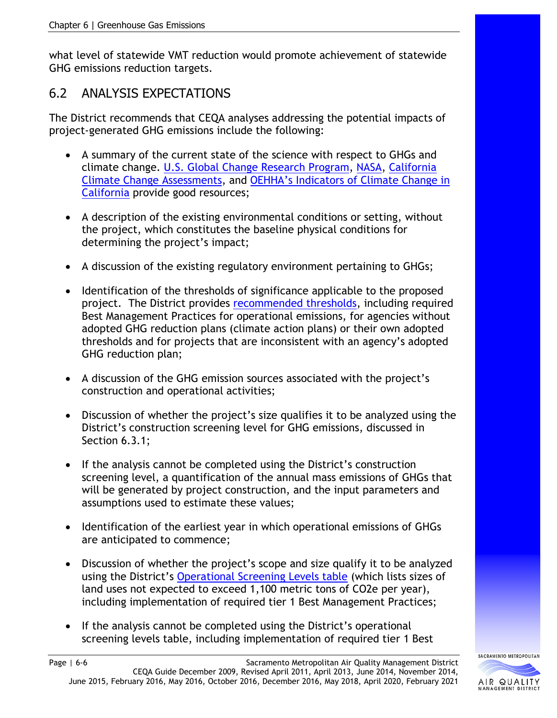what level of statewide VMT reduction would promote achievement of statewide GHG emissions reduction targets.

# 6.2 ANALYSIS EXPECTATIONS

The District recommends that CEQA analyses addressing the potential impacts of project-generated GHG emissions include the following:

- A summary of the current state of the science with respect to GHGs and climate change. [U.S. Global Change Research Program,](http://www.globalchange.gov/) [NASA,](http://climate.nasa.gov/) [California](http://www.climateassessment.ca.gov/)  [Climate Change Assessments,](http://www.climateassessment.ca.gov/) and [OEHHA's Indicators of Climate Change in](http://oehha.ca.gov/climate-change/document/indicators-climate-change-california)  [California](http://oehha.ca.gov/climate-change/document/indicators-climate-change-california) provide good resources;
- A description of the existing environmental conditions or setting, without the project, which constitutes the baseline physical conditions for determining the project's impact;
- A discussion of the existing regulatory environment pertaining to GHGs;
- Identification of the thresholds of significance applicable to the proposed project. The District provides [recommended thresholds,](http://www.airquality.org/Residents/CEQA-Land-Use-Planning/CEQA-Guidance-Tools) including required Best Management Practices for operational emissions, for agencies without adopted GHG reduction plans (climate action plans) or their own adopted thresholds and for projects that are inconsistent with an agency's adopted GHG reduction plan;
- A discussion of the GHG emission sources associated with the project's construction and operational activities;
- Discussion of whether the project's size qualifies it to be analyzed using the District's construction screening level for GHG emissions, discussed in Section 6.3.1;
- If the analysis cannot be completed using the District's construction screening level, a quantification of the annual mass emissions of GHGs that will be generated by project construction, and the input parameters and assumptions used to estimate these values;
- Identification of the earliest year in which operational emissions of GHGs are anticipated to commence;
- Discussion of whether the project's scope and size qualify it to be analyzed using the District's [Operational Screening Levels table](http://www.airquality.org/Residents/CEQA-Land-Use-Planning/CEQA-Guidance-Tools) (which lists sizes of land uses not expected to exceed 1,100 metric tons of CO2e per year), including implementation of required tier 1 Best Management Practices;
- If the analysis cannot be completed using the District's operational screening levels table, including implementation of required tier 1 Best

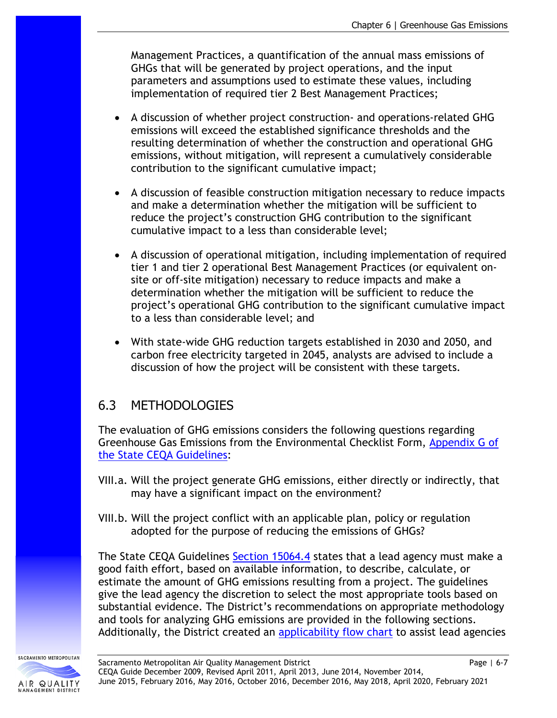Management Practices, a quantification of the annual mass emissions of GHGs that will be generated by project operations, and the input parameters and assumptions used to estimate these values, including implementation of required tier 2 Best Management Practices;

- A discussion of whether project construction- and operations-related GHG emissions will exceed the established significance thresholds and the resulting determination of whether the construction and operational GHG emissions, without mitigation, will represent a cumulatively considerable contribution to the significant cumulative impact;
- A discussion of feasible construction mitigation necessary to reduce impacts and make a determination whether the mitigation will be sufficient to reduce the project's construction GHG contribution to the significant cumulative impact to a less than considerable level;
- A discussion of operational mitigation, including implementation of required tier 1 and tier 2 operational Best Management Practices (or equivalent onsite or off-site mitigation) necessary to reduce impacts and make a determination whether the mitigation will be sufficient to reduce the project's operational GHG contribution to the significant cumulative impact to a less than considerable level; and
- With state-wide GHG reduction targets established in 2030 and 2050, and carbon free electricity targeted in 2045, analysts are advised to include a discussion of how the project will be consistent with these targets.

# 6.3 METHODOLOGIES

The evaluation of GHG emissions considers the following questions regarding Greenhouse Gas Emissions from the Environmental Checklist Form, [Appendix G of](http://califaep.org/docs/2019-Appendix_G_Checklist.pdf)  [the State CEQA Guidelines:](http://califaep.org/docs/2019-Appendix_G_Checklist.pdf)

- VIII.a. Will the project generate GHG emissions, either directly or indirectly, that may have a significant impact on the environment?
- VIII.b. Will the project conflict with an applicable plan, policy or regulation adopted for the purpose of reducing the emissions of GHGs?

The State CEQA Guidelines [Section 15064.4](https://resources.ca.gov/admin/Legal/CEQA-Supplemental-Documents) states that a lead agency must make a good faith effort, based on available information, to describe, calculate, or estimate the amount of GHG emissions resulting from a project. The guidelines give the lead agency the discretion to select the most appropriate tools based on substantial evidence. The District's recommendations on appropriate methodology and tools for analyzing GHG emissions are provided in the following sections. Additionally, the District created an [applicability flow chart](http://www.airquality.org/LandUseTransportation/Documents/Ch6GHGBMPApplicabilityFlowChart9-23-2020.pdf) to assist lead agencies

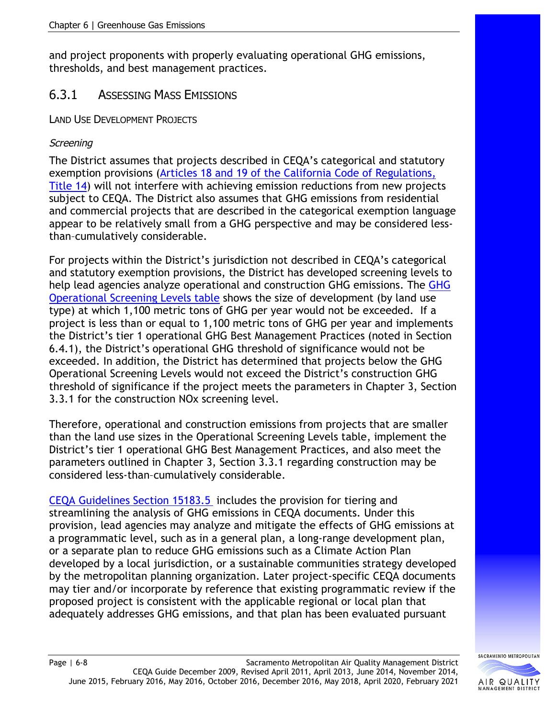and project proponents with properly evaluating operational GHG emissions, thresholds, and best management practices.

# 6.3.1 ASSESSING MASS EMISSIONS

LAND USE DEVELOPMENT PROJECTS

#### **Screening**

The District assumes that projects described in CEQA's categorical and statutory exemption provisions [\(Articles 18 and 19 of the California Code of Regulations,](https://resources.ca.gov/admin/Legal/CEQA-Supplemental-Documents)  [Title 14\)](https://resources.ca.gov/admin/Legal/CEQA-Supplemental-Documents) will not interfere with achieving emission reductions from new projects subject to CEQA. The District also assumes that GHG emissions from residential and commercial projects that are described in the categorical exemption language appear to be relatively small from a GHG perspective and may be considered lessthan–cumulatively considerable.

For projects within the District's jurisdiction not described in CEQA's categorical and statutory exemption provisions, the District has developed screening levels to help lead agencies analyze operational and construction GHG emissions. The [GHG](http://www.airquality.org/Residents/CEQA-Land-Use-Planning/CEQA-Guidance-Tools)  [Operational Screening Levels table](http://www.airquality.org/Residents/CEQA-Land-Use-Planning/CEQA-Guidance-Tools) shows the size of development (by land use type) at which 1,100 metric tons of GHG per year would not be exceeded. If a project is less than or equal to 1,100 metric tons of GHG per year and implements the District's tier 1 operational GHG Best Management Practices (noted in Section 6.4.1), the District's operational GHG threshold of significance would not be exceeded. In addition, the District has determined that projects below the GHG Operational Screening Levels would not exceed the District's construction GHG threshold of significance if the project meets the parameters in Chapter 3, Section 3.3.1 for the construction NOx screening level.

Therefore, operational and construction emissions from projects that are smaller than the land use sizes in the Operational Screening Levels table, implement the District's tier 1 operational GHG Best Management Practices, and also meet the parameters outlined in Chapter 3, Section 3.3.1 regarding construction may be considered less-than–cumulatively considerable.

[CEQA Guidelines Section 15183.5](https://resources.ca.gov/admin/Legal/CEQA-Supplemental-Documents) includes the provision for tiering and streamlining the analysis of GHG emissions in CEQA documents. Under this provision, lead agencies may analyze and mitigate the effects of GHG emissions at a programmatic level, such as in a general plan, a long-range development plan, or a separate plan to reduce GHG emissions such as a Climate Action Plan developed by a local jurisdiction, or a sustainable communities strategy developed by the metropolitan planning organization. Later project-specific CEQA documents may tier and/or incorporate by reference that existing programmatic review if the proposed project is consistent with the applicable regional or local plan that adequately addresses GHG emissions, and that plan has been evaluated pursuant

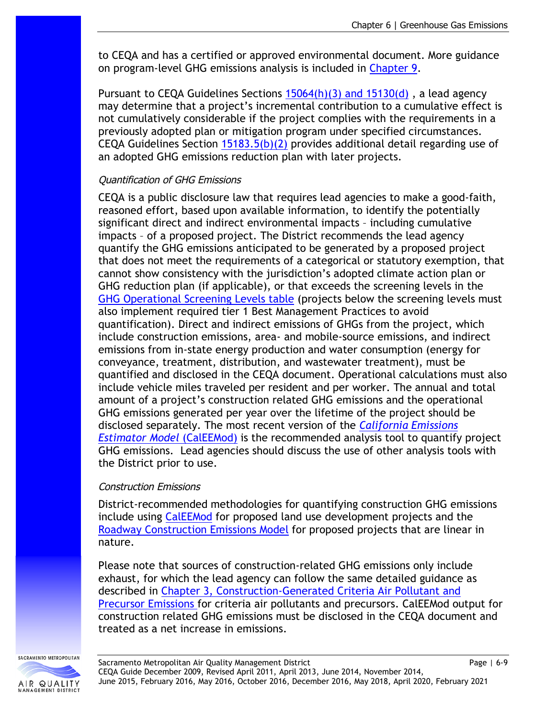to CEQA and has a certified or approved environmental document. More guidance on program-level GHG emissions analysis is included in [Chapter 9.](http://www.airquality.org/Businesses/CEQA-Land-Use-Planning/CEQA-Guidance-Tools)

Pursuant to CEQA Guidelines Sections 15064(h)(3) and 15130(d), a lead agency may determine that a project's incremental contribution to a cumulative effect is not cumulatively considerable if the project complies with the requirements in a previously adopted plan or mitigation program under specified circumstances. CEQA Guidelines Section  $15183.5(b)(2)$  provides additional detail regarding use of an adopted GHG emissions reduction plan with later projects.

#### Quantification of GHG Emissions

CEQA is a public disclosure law that requires lead agencies to make a good-faith, reasoned effort, based upon available information, to identify the potentially significant direct and indirect environmental impacts – including cumulative impacts – of a proposed project. The District recommends the lead agency quantify the GHG emissions anticipated to be generated by a proposed project that does not meet the requirements of a categorical or statutory exemption, that cannot show consistency with the jurisdiction's adopted climate action plan or GHG reduction plan (if applicable), or that exceeds the screening levels in the [GHG Operational Screening Levels table](http://www.airquality.org/Residents/CEQA-Land-Use-Planning/CEQA-Guidance-Tools) (projects below the screening levels must also implement required tier 1 Best Management Practices to avoid quantification). Direct and indirect emissions of GHGs from the project, which include construction emissions, area- and mobile-source emissions, and indirect emissions from in-state energy production and water consumption (energy for conveyance, treatment, distribution, and wastewater treatment), must be quantified and disclosed in the CEQA document. Operational calculations must also include vehicle miles traveled per resident and per worker. The annual and total amount of a project's construction related GHG emissions and the operational GHG emissions generated per year over the lifetime of the project should be disclosed separately. The most recent version of the *[California Emissions](http://www.caleemod.com/)  [Estimator Model](http://www.caleemod.com/)* (CalEEMod) is the recommended analysis tool to quantify project GHG emissions. Lead agencies should discuss the use of other analysis tools with the District prior to use.

#### Construction Emissions

District-recommended methodologies for quantifying construction GHG emissions include using [CalEEMod](http://www.caleemod.com/) for proposed land use development projects and the [Roadway Construction Emissions Model](http://www.airquality.org/LandUseTransportation/Documents/RoadConstructionEmissionsModelVer9_0_0_locked.zip) for proposed projects that are linear in nature.

Please note that sources of construction-related GHG emissions only include exhaust, for which the lead agency can follow the same detailed guidance as described in [Chapter 3, Construction-Generated Criteria Air Pollutant and](http://www.airquality.org/Businesses/CEQA-Land-Use-Planning/CEQA-Guidance-Tools)  [Precursor Emissions f](http://www.airquality.org/Businesses/CEQA-Land-Use-Planning/CEQA-Guidance-Tools)or criteria air pollutants and precursors. CalEEMod output for construction related GHG emissions must be disclosed in the CEQA document and treated as a net increase in emissions.

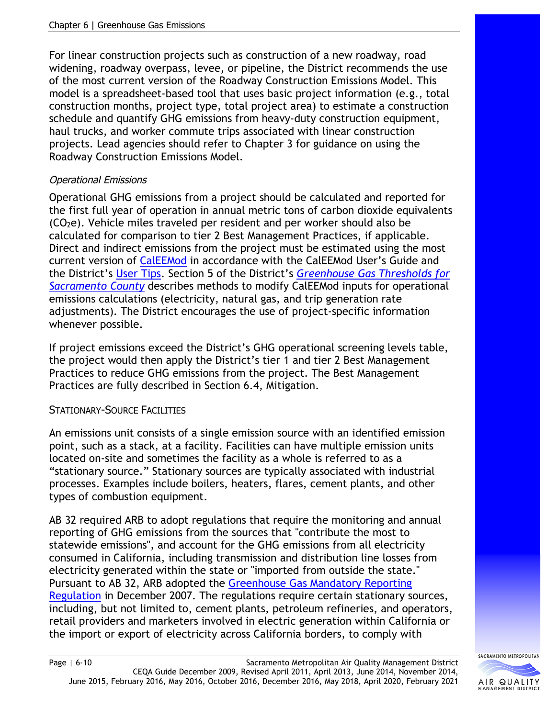For linear construction projects such as construction of a new roadway, road widening, roadway overpass, levee, or pipeline, the District recommends the use of the most current version of the Roadway Construction Emissions Model. This model is a spreadsheet-based tool that uses basic project information (e.g., total construction months, project type, total project area) to estimate a construction schedule and quantify GHG emissions from heavy-duty construction equipment, haul trucks, and worker commute trips associated with linear construction projects. Lead agencies should refer to Chapter 3 for guidance on using the Roadway Construction Emissions Model.

#### Operational Emissions

Operational GHG emissions from a project should be calculated and reported for the first full year of operation in annual metric tons of carbon dioxide equivalents  $(CO<sub>2</sub>e)$ . Vehicle miles traveled per resident and per worker should also be calculated for comparison to tier 2 Best Management Practices, if applicable. Direct and indirect emissions from the project must be estimated using the most current version of [CalEEMod](http://www.caleemod.com/) in accordance with the CalEEMod User's Guide and the District's [User Tips.](http://www.airquality.org/LandUseTransportation/Documents/UserTipsSMAQMDFinal2-2019.pdf) Section 5 of the District's *[Greenhouse Gas Thresholds for](http://www.airquality.org/LandUseTransportation/Documents/SMAQMDGHGThresholds2020-03-04v2.pdf)  [Sacramento County](http://www.airquality.org/LandUseTransportation/Documents/SMAQMDGHGThresholds2020-03-04v2.pdf)* describes methods to modify CalEEMod inputs for operational emissions calculations (electricity, natural gas, and trip generation rate adjustments). The District encourages the use of project-specific information whenever possible.

If project emissions exceed the District's GHG operational screening levels table, the project would then apply the District's tier 1 and tier 2 Best Management Practices to reduce GHG emissions from the project. The Best Management Practices are fully described in Section 6.4, Mitigation.

#### STATIONARY-SOURCE FACILITIES

An emissions unit consists of a single emission source with an identified emission point, such as a stack, at a facility. Facilities can have multiple emission units located on-site and sometimes the facility as a whole is referred to as a "stationary source." Stationary sources are typically associated with industrial processes. Examples include boilers, heaters, flares, cement plants, and other types of combustion equipment.

AB 32 required ARB to adopt regulations that require the monitoring and annual reporting of GHG emissions from the sources that "contribute the most to statewide emissions", and account for the GHG emissions from all electricity consumed in California, including transmission and distribution line losses from electricity generated within the state or "imported from outside the state." Pursuant to AB 32, ARB adopted the [Greenhouse Gas Mandatory Reporting](http://www.arb.ca.gov/cc/reporting/ghg-rep/ghg-rep.htm)  [Regulation](http://www.arb.ca.gov/cc/reporting/ghg-rep/ghg-rep.htm) in December 2007. The regulations require certain stationary sources, including, but not limited to, cement plants, petroleum refineries, and operators, retail providers and marketers involved in electric generation within California or the import or export of electricity across California borders, to comply with

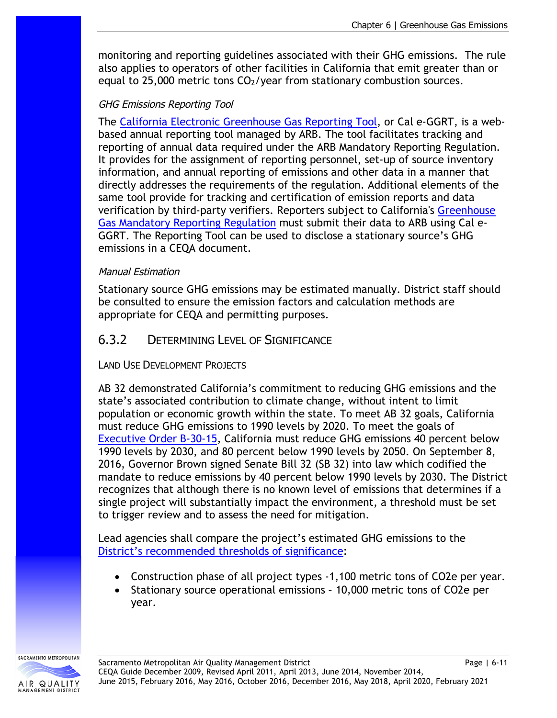monitoring and reporting guidelines associated with their GHG emissions. The rule also applies to operators of other facilities in California that emit greater than or equal to 25,000 metric tons  $CO<sub>2</sub>/year$  from stationary combustion sources.

#### GHG Emissions Reporting Tool

The [California Electronic Greenhouse Gas Reporting Tool,](http://www.arb.ca.gov/cc/reporting/ghg-rep/tool/ghg-tool.htm) or Cal e-GGRT, is a webbased annual reporting tool managed by ARB. The tool facilitates tracking and reporting of annual data required under the ARB Mandatory Reporting Regulation. It provides for the assignment of reporting personnel, set-up of source inventory information, and annual reporting of emissions and other data in a manner that directly addresses the requirements of the regulation. Additional elements of the same tool provide for tracking and certification of emission reports and data verification by third-party verifiers. Reporters subject to California's [Greenhouse](http://www.arb.ca.gov/cc/reporting/ghg-rep/ghg-rep.htm)  [Gas Mandatory Reporting Regulation](http://www.arb.ca.gov/cc/reporting/ghg-rep/ghg-rep.htm) must submit their data to ARB using Cal e-GGRT. The Reporting Tool can be used to disclose a stationary source's GHG emissions in a CEQA document.

#### Manual Estimation

Stationary source GHG emissions may be estimated manually. District staff should be consulted to ensure the emission factors and calculation methods are appropriate for CEQA and permitting purposes.

### 6.3.2 DETERMINING LEVEL OF SIGNIFICANCE

LAND USE DEVELOPMENT PROJECTS

AB 32 demonstrated California's commitment to reducing GHG emissions and the state's associated contribution to climate change, without intent to limit population or economic growth within the state. To meet AB 32 goals, California must reduce GHG emissions to 1990 levels by 2020. To meet the goals of [Executive Order B-30-15,](https://www.ca.gov/archive/gov39/2015/04/29/news18938/index.html) California must reduce GHG emissions 40 percent below 1990 levels by 2030, and 80 percent below 1990 levels by 2050. On September 8, 2016, Governor Brown signed Senate Bill 32 (SB 32) into law which codified the mandate to reduce emissions by 40 percent below 1990 levels by 2030. The District recognizes that although there is no known level of emissions that determines if a single project will substantially impact the environment, a threshold must be set to trigger review and to assess the need for mitigation.

Lead agencies shall compare the project's estimated GHG emissions to the [District's recommended thresholds of significance:](http://www.airquality.org/Residents/CEQA-Land-Use-Planning/CEQA-Guidance-Tools)

- Construction phase of all project types -1,100 metric tons of CO2e per year.
- Stationary source operational emissions 10,000 metric tons of CO2e per year.

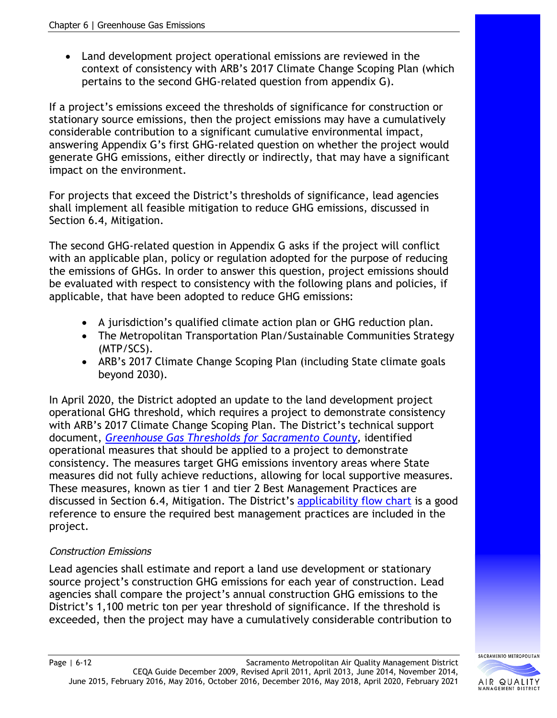Land development project operational emissions are reviewed in the context of consistency with ARB's 2017 Climate Change Scoping Plan (which pertains to the second GHG-related question from appendix G).

If a project's emissions exceed the thresholds of significance for construction or stationary source emissions, then the project emissions may have a cumulatively considerable contribution to a significant cumulative environmental impact, answering Appendix G's first GHG-related question on whether the project would generate GHG emissions, either directly or indirectly, that may have a significant impact on the environment.

For projects that exceed the District's thresholds of significance, lead agencies shall implement all feasible mitigation to reduce GHG emissions, discussed in Section 6.4, Mitigation.

The second GHG-related question in Appendix G asks if the project will conflict with an applicable plan, policy or regulation adopted for the purpose of reducing the emissions of GHGs. In order to answer this question, project emissions should be evaluated with respect to consistency with the following plans and policies, if applicable, that have been adopted to reduce GHG emissions:

- A jurisdiction's qualified climate action plan or GHG reduction plan.
- The Metropolitan Transportation Plan/Sustainable Communities Strategy (MTP/SCS).
- ARB's 2017 Climate Change Scoping Plan (including State climate goals beyond 2030).

In April 2020, the District adopted an update to the land development project operational GHG threshold, which requires a project to demonstrate consistency with ARB's 2017 Climate Change Scoping Plan. The District's technical support document, *[Greenhouse Gas Thresholds for Sacramento County,](http://www.airquality.org/LandUseTransportation/Documents/SMAQMDGHGThresholds2020-03-04v2.pdf)* identified operational measures that should be applied to a project to demonstrate consistency. The measures target GHG emissions inventory areas where State measures did not fully achieve reductions, allowing for local supportive measures. These measures, known as tier 1 and tier 2 Best Management Practices are discussed in Section 6.4, Mitigation. The District's [applicability flow chart](http://www.airquality.org/LandUseTransportation/Documents/Ch6GHGBMPApplicabilityFlowChart9-23-2020.pdf) is a good reference to ensure the required best management practices are included in the project.

### Construction Emissions

Lead agencies shall estimate and report a land use development or stationary source project's construction GHG emissions for each year of construction. Lead agencies shall compare the project's annual construction GHG emissions to the District's 1,100 metric ton per year threshold of significance. If the threshold is exceeded, then the project may have a cumulatively considerable contribution to

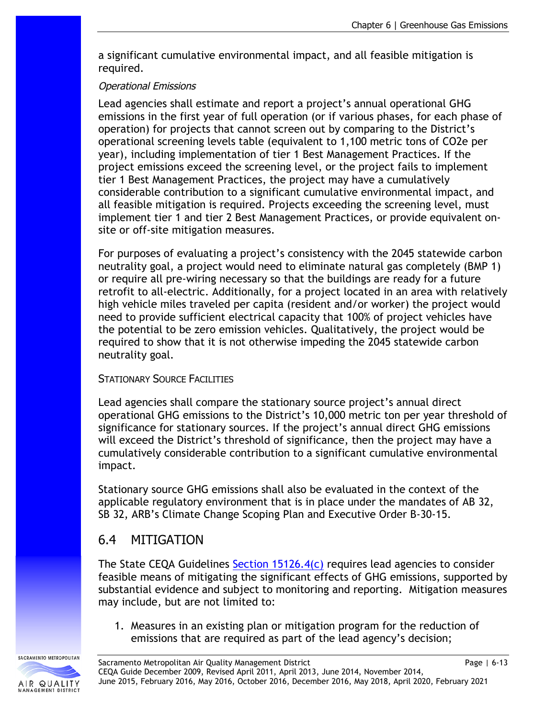a significant cumulative environmental impact, and all feasible mitigation is required.

#### Operational Emissions

Lead agencies shall estimate and report a project's annual operational GHG emissions in the first year of full operation (or if various phases, for each phase of operation) for projects that cannot screen out by comparing to the District's operational screening levels table (equivalent to 1,100 metric tons of CO2e per year), including implementation of tier 1 Best Management Practices. If the project emissions exceed the screening level, or the project fails to implement tier 1 Best Management Practices, the project may have a cumulatively considerable contribution to a significant cumulative environmental impact, and all feasible mitigation is required. Projects exceeding the screening level, must implement tier 1 and tier 2 Best Management Practices, or provide equivalent onsite or off-site mitigation measures.

For purposes of evaluating a project's consistency with the 2045 statewide carbon neutrality goal, a project would need to eliminate natural gas completely (BMP 1) or require all pre-wiring necessary so that the buildings are ready for a future retrofit to all-electric. Additionally, for a project located in an area with relatively high vehicle miles traveled per capita (resident and/or worker) the project would need to provide sufficient electrical capacity that 100% of project vehicles have the potential to be zero emission vehicles. Qualitatively, the project would be required to show that it is not otherwise impeding the 2045 statewide carbon neutrality goal.

#### STATIONARY SOURCE FACILITIES

Lead agencies shall compare the stationary source project's annual direct operational GHG emissions to the District's 10,000 metric ton per year threshold of significance for stationary sources. If the project's annual direct GHG emissions will exceed the District's threshold of significance, then the project may have a cumulatively considerable contribution to a significant cumulative environmental impact.

Stationary source GHG emissions shall also be evaluated in the context of the applicable regulatory environment that is in place under the mandates of AB 32, SB 32, ARB's Climate Change Scoping Plan and Executive Order B-30-15.

# 6.4 MITIGATION

The State CEQA Guidelines [Section 15126.4\(c\)](https://resources.ca.gov/admin/Legal/CEQA-Supplemental-Documents) requires lead agencies to consider feasible means of mitigating the significant effects of GHG emissions, supported by substantial evidence and subject to monitoring and reporting. Mitigation measures may include, but are not limited to:

1. Measures in an existing plan or mitigation program for the reduction of emissions that are required as part of the lead agency's decision;

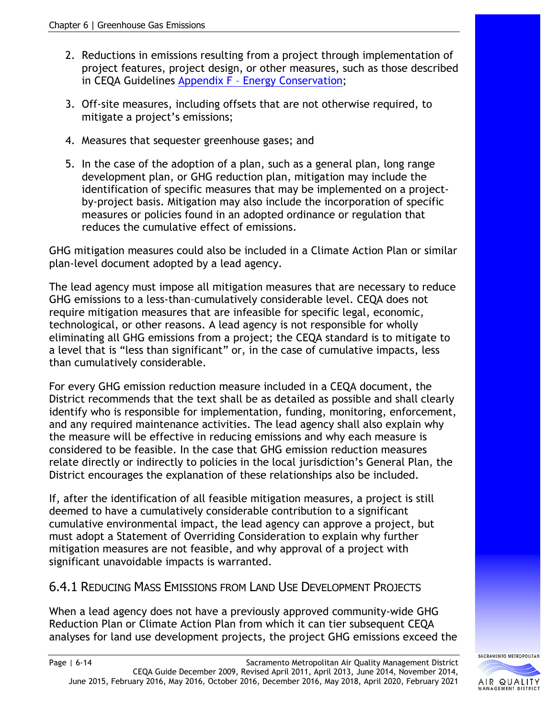- 2. Reductions in emissions resulting from a project through implementation of project features, project design, or other measures, such as those described in CEQA Guidelines [Appendix F – Energy Conservation;](https://resources.ca.gov/admin/Legal/CEQA-Supplemental-Documents)
- 3. Off-site measures, including offsets that are not otherwise required, to mitigate a project's emissions;
- 4. Measures that sequester greenhouse gases; and
- 5. In the case of the adoption of a plan, such as a general plan, long range development plan, or GHG reduction plan, mitigation may include the identification of specific measures that may be implemented on a projectby-project basis. Mitigation may also include the incorporation of specific measures or policies found in an adopted ordinance or regulation that reduces the cumulative effect of emissions.

GHG mitigation measures could also be included in a Climate Action Plan or similar plan-level document adopted by a lead agency.

The lead agency must impose all mitigation measures that are necessary to reduce GHG emissions to a less-than–cumulatively considerable level. CEQA does not require mitigation measures that are infeasible for specific legal, economic, technological, or other reasons. A lead agency is not responsible for wholly eliminating all GHG emissions from a project; the CEQA standard is to mitigate to a level that is "less than significant" or, in the case of cumulative impacts, less than cumulatively considerable.

For every GHG emission reduction measure included in a CEQA document, the District recommends that the text shall be as detailed as possible and shall clearly identify who is responsible for implementation, funding, monitoring, enforcement, and any required maintenance activities. The lead agency shall also explain why the measure will be effective in reducing emissions and why each measure is considered to be feasible. In the case that GHG emission reduction measures relate directly or indirectly to policies in the local jurisdiction's General Plan, the District encourages the explanation of these relationships also be included.

If, after the identification of all feasible mitigation measures, a project is still deemed to have a cumulatively considerable contribution to a significant cumulative environmental impact, the lead agency can approve a project, but must adopt a Statement of Overriding Consideration to explain why further mitigation measures are not feasible, and why approval of a project with significant unavoidable impacts is warranted.

# 6.4.1 REDUCING MASS EMISSIONS FROM LAND USE DEVELOPMENT PROJECTS

When a lead agency does not have a previously approved community-wide GHG Reduction Plan or Climate Action Plan from which it can tier subsequent CEQA analyses for land use development projects, the project GHG emissions exceed the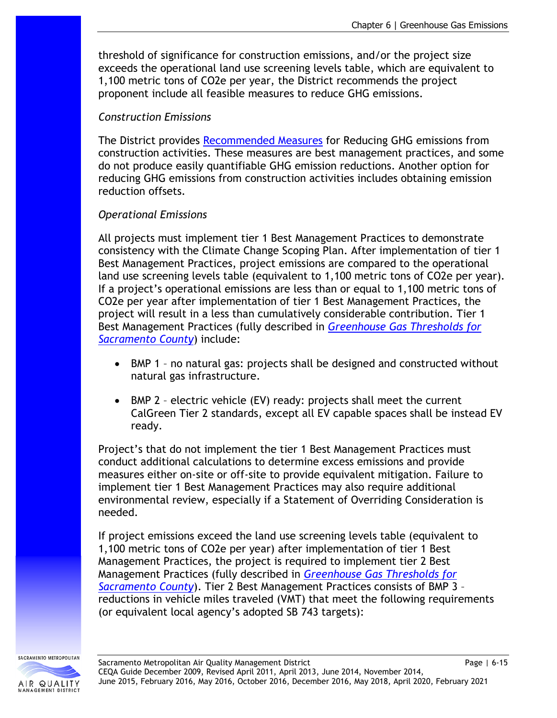threshold of significance for construction emissions, and/or the project size exceeds the operational land use screening levels table, which are equivalent to 1,100 metric tons of CO2e per year, the District recommends the project proponent include all feasible measures to reduce GHG emissions.

#### *Construction Emissions*

The District provides [Recommended Measures](http://www.airquality.org/LandUseTransportation/Documents/Ch6ConstructionMitMeasuresFINAL5-2016.pdf) for Reducing GHG emissions from construction activities. These measures are best management practices, and some do not produce easily quantifiable GHG emission reductions. Another option for reducing GHG emissions from construction activities includes obtaining emission reduction offsets.

#### *Operational Emissions*

All projects must implement tier 1 Best Management Practices to demonstrate consistency with the Climate Change Scoping Plan. After implementation of tier 1 Best Management Practices, project emissions are compared to the operational land use screening levels table (equivalent to 1,100 metric tons of CO2e per year). If a project's operational emissions are less than or equal to 1,100 metric tons of CO2e per year after implementation of tier 1 Best Management Practices, the project will result in a less than cumulatively considerable contribution. Tier 1 Best Management Practices (fully described in *Greenhouse [Gas Thresholds for](http://www.airquality.org/LandUseTransportation/Documents/SMAQMDGHGThresholds2020-03-04v2.pdf)  [Sacramento County](http://www.airquality.org/LandUseTransportation/Documents/SMAQMDGHGThresholds2020-03-04v2.pdf)*) include:

- BMP 1 no natural gas: projects shall be designed and constructed without natural gas infrastructure.
- BMP 2 electric vehicle (EV) ready: projects shall meet the current CalGreen Tier 2 standards, except all EV capable spaces shall be instead EV ready.

Project's that do not implement the tier 1 Best Management Practices must conduct additional calculations to determine excess emissions and provide measures either on-site or off-site to provide equivalent mitigation. Failure to implement tier 1 Best Management Practices may also require additional environmental review, especially if a Statement of Overriding Consideration is needed.

If project emissions exceed the land use screening levels table (equivalent to 1,100 metric tons of CO2e per year) after implementation of tier 1 Best Management Practices, the project is required to implement tier 2 Best Management Practices (fully described in *Greenhouse [Gas Thresholds for](http://www.airquality.org/LandUseTransportation/Documents/SMAQMDGHGThresholds2020-03-04v2.pdf)  [Sacramento County](http://www.airquality.org/LandUseTransportation/Documents/SMAQMDGHGThresholds2020-03-04v2.pdf)*). Tier 2 Best Management Practices consists of BMP 3 – reductions in vehicle miles traveled (VMT) that meet the following requirements (or equivalent local agency's adopted SB 743 targets):

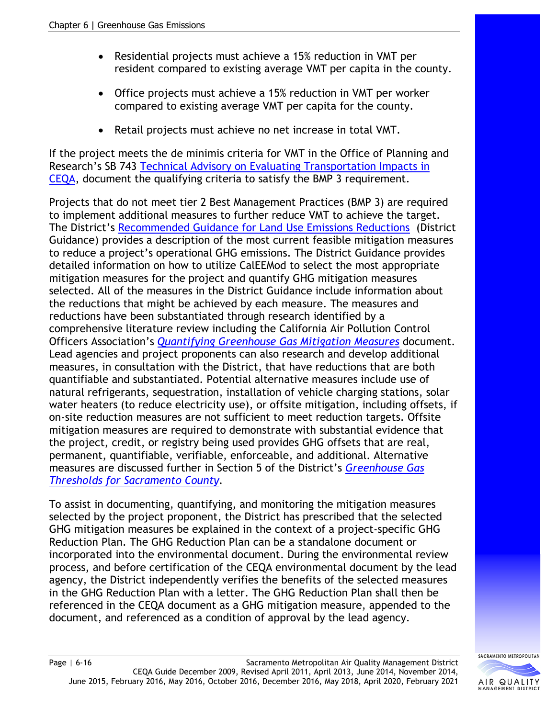- Residential projects must achieve a 15% reduction in VMT per resident compared to existing average VMT per capita in the county.
- Office projects must achieve a 15% reduction in VMT per worker compared to existing average VMT per capita for the county.
- Retail projects must achieve no net increase in total VMT.

If the project meets the de minimis criteria for VMT in the Office of Planning and Research's SB 743 [Technical Advisory on Evaluating Transportation Impacts in](http://www.opr.ca.gov/docs/20190122-743_Technical_Advisory.pdf)  [CEQA,](http://www.opr.ca.gov/docs/20190122-743_Technical_Advisory.pdf) document the qualifying criteria to satisfy the BMP 3 requirement.

Projects that do not meet tier 2 Best Management Practices (BMP 3) are required to implement additional measures to further reduce VMT to achieve the target. The District's [Recommended Guidance for Land Use Emissions Reductions](http://www.airquality.org/Businesses/CEQA-Land-Use-Planning/Mitigation) (District Guidance) provides a description of the most current feasible mitigation measures to reduce a project's operational GHG emissions. The District Guidance provides detailed information on how to utilize CalEEMod to select the most appropriate mitigation measures for the project and quantify GHG mitigation measures selected. All of the measures in the District Guidance include information about the reductions that might be achieved by each measure. The measures and reductions have been substantiated through research identified by a comprehensive literature review including the California Air Pollution Control Officers Association's *[Quantifying Greenhouse Gas Mitigation Measures](http://www.capcoa.org/wp-content/uploads/2010/11/CAPCOA-Quantification-Report-9-14-Final.pdf)* document. Lead agencies and project proponents can also research and develop additional measures, in consultation with the District, that have reductions that are both quantifiable and substantiated. Potential alternative measures include use of natural refrigerants, sequestration, installation of vehicle charging stations, solar water heaters (to reduce electricity use), or offsite mitigation, including offsets, if on-site reduction measures are not sufficient to meet reduction targets. Offsite mitigation measures are required to demonstrate with substantial evidence that the project, credit, or registry being used provides GHG offsets that are real, permanent, quantifiable, verifiable, enforceable, and additional. Alternative measures are discussed further in Section 5 of the District's *[Greenhouse Gas](http://www.airquality.org/LandUseTransportation/Documents/SMAQMDGHGThresholds2020-03-04v2.pdf)  [Thresholds for Sacramento County.](http://www.airquality.org/LandUseTransportation/Documents/SMAQMDGHGThresholds2020-03-04v2.pdf)*

To assist in documenting, quantifying, and monitoring the mitigation measures selected by the project proponent, the District has prescribed that the selected GHG mitigation measures be explained in the context of a project-specific GHG Reduction Plan. The GHG Reduction Plan can be a standalone document or incorporated into the environmental document. During the environmental review process, and before certification of the CEQA environmental document by the lead agency, the District independently verifies the benefits of the selected measures in the GHG Reduction Plan with a letter. The GHG Reduction Plan shall then be referenced in the CEQA document as a GHG mitigation measure, appended to the document, and referenced as a condition of approval by the lead agency.